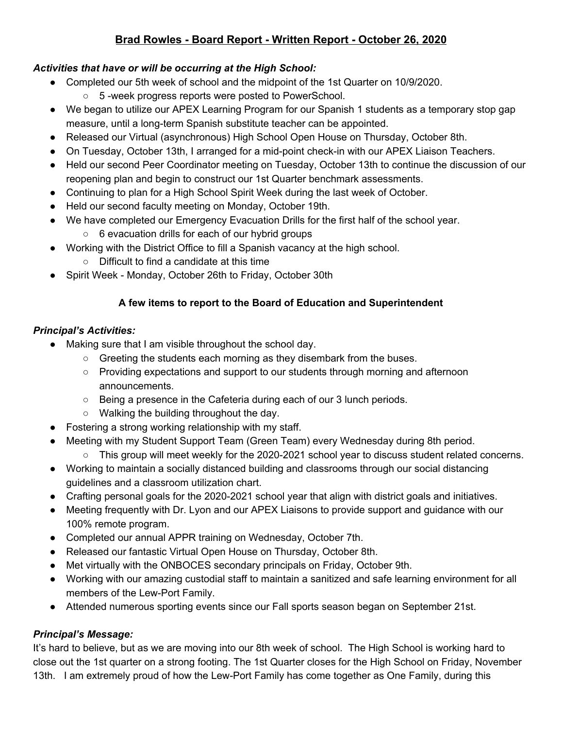# **Brad Rowles - Board Report - Written Report - October 26, 2020**

#### *Activities that have or will be occurring at the High School:*

- ● Completed our 5th week of school and the midpoint of the 1st Quarter on 10/9/2020.
	- 5 -week progress reports were posted to PowerSchool.
- We began to utilize our APEX Learning Program for our Spanish 1 students as a temporary stop gap measure, until a long-term Spanish substitute teacher can be appointed.
- Released our Virtual (asynchronous) High School Open House on Thursday, October 8th.
- On Tuesday, October 13th, I arranged for a mid-point check-in with our APEX Liaison Teachers.
- ● Held our second Peer Coordinator meeting on Tuesday, October 13th to continue the discussion of our reopening plan and begin to construct our 1st Quarter benchmark assessments.
- Continuing to plan for a High School Spirit Week during the last week of October.
- Held our second faculty meeting on Monday, October 19th.
- ● We have completed our Emergency Evacuation Drills for the first half of the school year.
	- 6 evacuation drills for each of our hybrid groups
- ● Working with the District Office to fill a Spanish vacancy at the high school.
	- Difficult to find a candidate at this time
- Spirit Week Monday, October 26th to Friday, October 30th

#### **A few items to report to the Board of Education and Superintendent**

### *Principal's Activities:*

- ● Making sure that I am visible throughout the school day.
	- Greeting the students each morning as they disembark from the buses.
	- Providing expectations and support to our students through morning and afternoon announcements.
	- Being a presence in the Cafeteria during each of our 3 lunch periods.
	- Walking the building throughout the day.
- Fostering a strong working relationship with my staff.
- ● Meeting with my Student Support Team (Green Team) every Wednesday during 8th period.
	- This group will meet weekly for the 2020-2021 school year to discuss student related concerns.
- ● Working to maintain a socially distanced building and classrooms through our social distancing guidelines and a classroom utilization chart.
- Crafting personal goals for the 2020-2021 school year that align with district goals and initiatives.
- ● Meeting frequently with Dr. Lyon and our APEX Liaisons to provide support and guidance with our 100% remote program.
- Completed our annual APPR training on Wednesday, October 7th.
- Released our fantastic Virtual Open House on Thursday, October 8th.
- Met virtually with the ONBOCES secondary principals on Friday, October 9th.
- ● Working with our amazing custodial staff to maintain a sanitized and safe learning environment for all members of the Lew-Port Family.
- Attended numerous sporting events since our Fall sports season began on September 21st.

### *Principal's Message:*

 It's hard to believe, but as we are moving into our 8th week of school. The High School is working hard to close out the 1st quarter on a strong footing. The 1st Quarter closes for the High School on Friday, November 13th. I am extremely proud of how the Lew-Port Family has come together as One Family, during this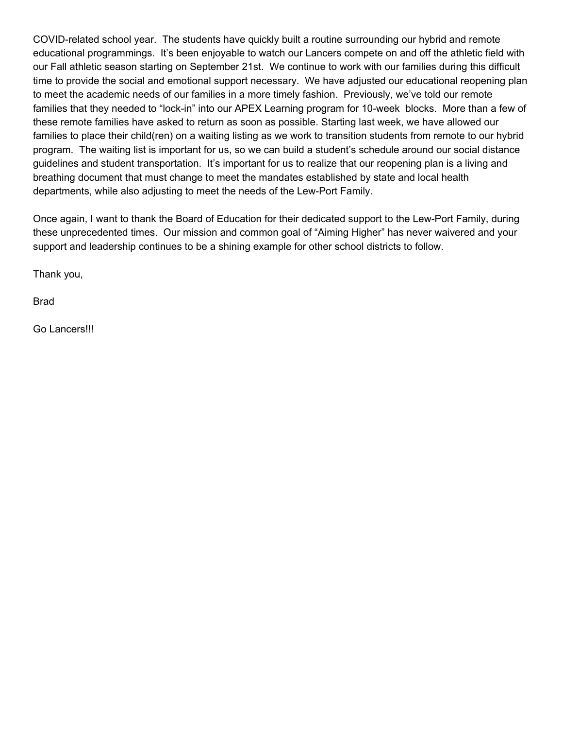COVID-related school year. The students have quickly built a routine surrounding our hybrid and remote educational programmings. It's been enjoyable to watch our Lancers compete on and off the athletic field with our Fall athletic season starting on September 21st. We continue to work with our families during this difficult time to provide the social and emotional support necessary. We have adjusted our educational reopening plan to meet the academic needs of our families in a more timely fashion. Previously, we've told our remote families that they needed to "lock-in" into our APEX Learning program for 10-week blocks. More than a few of these remote families have asked to return as soon as possible. Starting last week, we have allowed our families to place their child(ren) on a waiting listing as we work to transition students from remote to our hybrid program. The waiting list is important for us, so we can build a student's schedule around our social distance guidelines and student transportation. It's important for us to realize that our reopening plan is a living and breathing document that must change to meet the mandates established by state and local health departments, while also adjusting to meet the needs of the Lew-Port Family.

 Once again, I want to thank the Board of Education for their dedicated support to the Lew-Port Family, during these unprecedented times. Our mission and common goal of "Aiming Higher" has never waivered and your support and leadership continues to be a shining example for other school districts to follow.

Thank you,

Brad

Go Lancers!!!